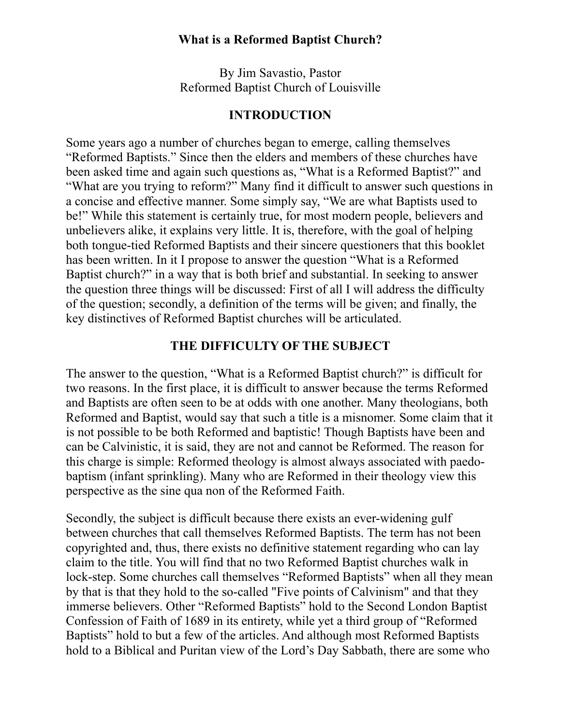By Jim Savastio, Pastor Reformed Baptist Church of Louisville

#### **INTRODUCTION**

Some years ago a number of churches began to emerge, calling themselves "Reformed Baptists." Since then the elders and members of these churches have been asked time and again such questions as, "What is a Reformed Baptist?" and "What are you trying to reform?" Many find it difficult to answer such questions in a concise and effective manner. Some simply say, "We are what Baptists used to be!" While this statement is certainly true, for most modern people, believers and unbelievers alike, it explains very little. It is, therefore, with the goal of helping both tongue-tied Reformed Baptists and their sincere questioners that this booklet has been written. In it I propose to answer the question "What is a Reformed Baptist church?" in a way that is both brief and substantial. In seeking to answer the question three things will be discussed: First of all I will address the difficulty of the question; secondly, a definition of the terms will be given; and finally, the key distinctives of Reformed Baptist churches will be articulated.

#### **THE DIFFICULTY OF THE SUBJECT**

The answer to the question, "What is a Reformed Baptist church?" is difficult for two reasons. In the first place, it is difficult to answer because the terms Reformed and Baptists are often seen to be at odds with one another. Many theologians, both Reformed and Baptist, would say that such a title is a misnomer. Some claim that it is not possible to be both Reformed and baptistic! Though Baptists have been and can be Calvinistic, it is said, they are not and cannot be Reformed. The reason for this charge is simple: Reformed theology is almost always associated with paedobaptism (infant sprinkling). Many who are Reformed in their theology view this perspective as the sine qua non of the Reformed Faith.

Secondly, the subject is difficult because there exists an ever-widening gulf between churches that call themselves Reformed Baptists. The term has not been copyrighted and, thus, there exists no definitive statement regarding who can lay claim to the title. You will find that no two Reformed Baptist churches walk in lock-step. Some churches call themselves "Reformed Baptists" when all they mean by that is that they hold to the so-called "Five points of Calvinism" and that they immerse believers. Other "Reformed Baptists" hold to the Second London Baptist Confession of Faith of 1689 in its entirety, while yet a third group of "Reformed Baptists" hold to but a few of the articles. And although most Reformed Baptists hold to a Biblical and Puritan view of the Lord's Day Sabbath, there are some who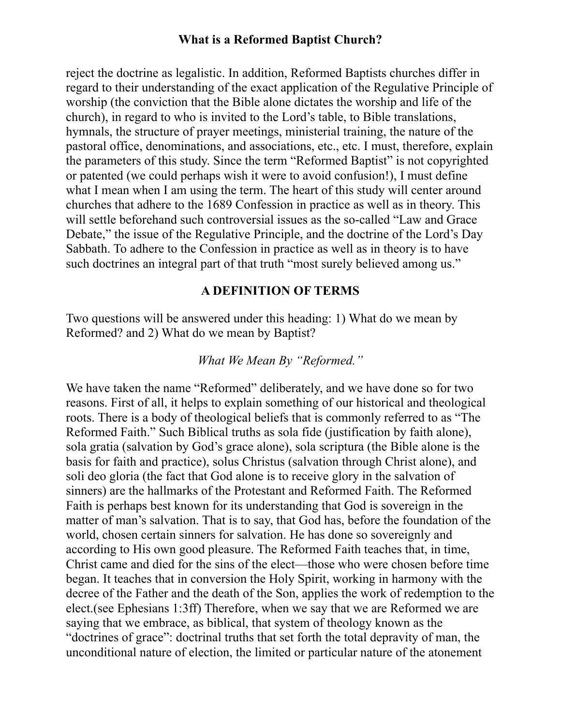reject the doctrine as legalistic. In addition, Reformed Baptists churches differ in regard to their understanding of the exact application of the Regulative Principle of worship (the conviction that the Bible alone dictates the worship and life of the church), in regard to who is invited to the Lord's table, to Bible translations, hymnals, the structure of prayer meetings, ministerial training, the nature of the pastoral office, denominations, and associations, etc., etc. I must, therefore, explain the parameters of this study. Since the term "Reformed Baptist" is not copyrighted or patented (we could perhaps wish it were to avoid confusion!), I must define what I mean when I am using the term. The heart of this study will center around churches that adhere to the 1689 Confession in practice as well as in theory. This will settle beforehand such controversial issues as the so-called "Law and Grace Debate," the issue of the Regulative Principle, and the doctrine of the Lord's Day Sabbath. To adhere to the Confession in practice as well as in theory is to have such doctrines an integral part of that truth "most surely believed among us."

## **A DEFINITION OF TERMS**

Two questions will be answered under this heading: 1) What do we mean by Reformed? and 2) What do we mean by Baptist?

#### *What We Mean By "Reformed."*

We have taken the name "Reformed" deliberately, and we have done so for two reasons. First of all, it helps to explain something of our historical and theological roots. There is a body of theological beliefs that is commonly referred to as "The Reformed Faith." Such Biblical truths as sola fide (justification by faith alone), sola gratia (salvation by God's grace alone), sola scriptura (the Bible alone is the basis for faith and practice), solus Christus (salvation through Christ alone), and soli deo gloria (the fact that God alone is to receive glory in the salvation of sinners) are the hallmarks of the Protestant and Reformed Faith. The Reformed Faith is perhaps best known for its understanding that God is sovereign in the matter of man's salvation. That is to say, that God has, before the foundation of the world, chosen certain sinners for salvation. He has done so sovereignly and according to His own good pleasure. The Reformed Faith teaches that, in time, Christ came and died for the sins of the elect—those who were chosen before time began. It teaches that in conversion the Holy Spirit, working in harmony with the decree of the Father and the death of the Son, applies the work of redemption to the elect.(see Ephesians 1:3ff) Therefore, when we say that we are Reformed we are saying that we embrace, as biblical, that system of theology known as the "doctrines of grace": doctrinal truths that set forth the total depravity of man, the unconditional nature of election, the limited or particular nature of the atonement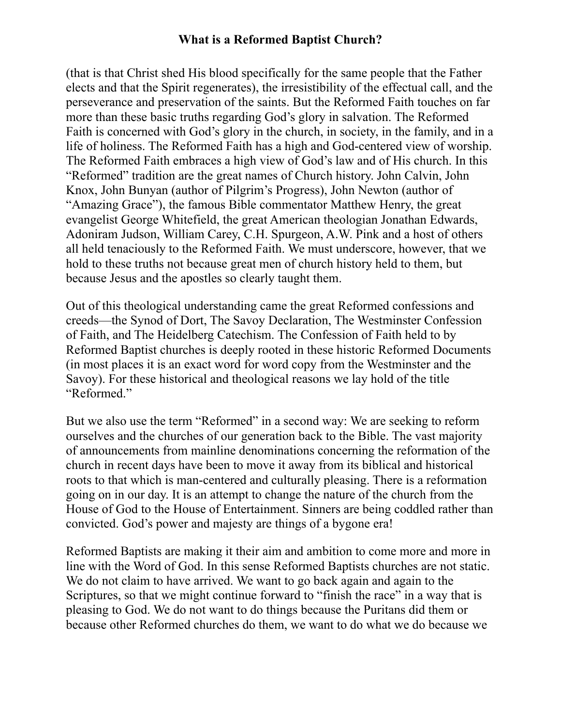(that is that Christ shed His blood specifically for the same people that the Father elects and that the Spirit regenerates), the irresistibility of the effectual call, and the perseverance and preservation of the saints. But the Reformed Faith touches on far more than these basic truths regarding God's glory in salvation. The Reformed Faith is concerned with God's glory in the church, in society, in the family, and in a life of holiness. The Reformed Faith has a high and God-centered view of worship. The Reformed Faith embraces a high view of God's law and of His church. In this "Reformed" tradition are the great names of Church history. John Calvin, John Knox, John Bunyan (author of Pilgrim's Progress), John Newton (author of "Amazing Grace"), the famous Bible commentator Matthew Henry, the great evangelist George Whitefield, the great American theologian Jonathan Edwards, Adoniram Judson, William Carey, C.H. Spurgeon, A.W. Pink and a host of others all held tenaciously to the Reformed Faith. We must underscore, however, that we hold to these truths not because great men of church history held to them, but because Jesus and the apostles so clearly taught them.

Out of this theological understanding came the great Reformed confessions and creeds—the Synod of Dort, The Savoy Declaration, The Westminster Confession of Faith, and The Heidelberg Catechism. The Confession of Faith held to by Reformed Baptist churches is deeply rooted in these historic Reformed Documents (in most places it is an exact word for word copy from the Westminster and the Savoy). For these historical and theological reasons we lay hold of the title "Reformed."

But we also use the term "Reformed" in a second way: We are seeking to reform ourselves and the churches of our generation back to the Bible. The vast majority of announcements from mainline denominations concerning the reformation of the church in recent days have been to move it away from its biblical and historical roots to that which is man-centered and culturally pleasing. There is a reformation going on in our day. It is an attempt to change the nature of the church from the House of God to the House of Entertainment. Sinners are being coddled rather than convicted. God's power and majesty are things of a bygone era!

Reformed Baptists are making it their aim and ambition to come more and more in line with the Word of God. In this sense Reformed Baptists churches are not static. We do not claim to have arrived. We want to go back again and again to the Scriptures, so that we might continue forward to "finish the race" in a way that is pleasing to God. We do not want to do things because the Puritans did them or because other Reformed churches do them, we want to do what we do because we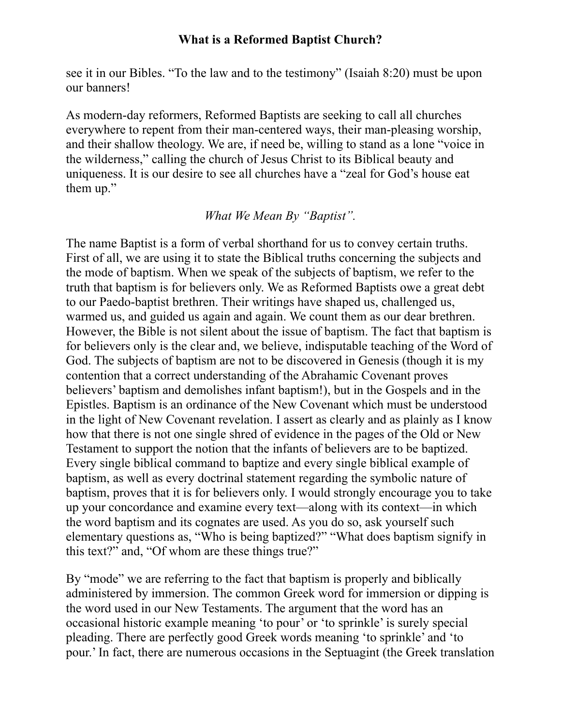see it in our Bibles. "To the law and to the testimony" (Isaiah 8:20) must be upon our banners!

As modern-day reformers, Reformed Baptists are seeking to call all churches everywhere to repent from their man-centered ways, their man-pleasing worship, and their shallow theology. We are, if need be, willing to stand as a lone "voice in the wilderness," calling the church of Jesus Christ to its Biblical beauty and uniqueness. It is our desire to see all churches have a "zeal for God's house eat them up."

#### *What We Mean By "Baptist".*

The name Baptist is a form of verbal shorthand for us to convey certain truths. First of all, we are using it to state the Biblical truths concerning the subjects and the mode of baptism. When we speak of the subjects of baptism, we refer to the truth that baptism is for believers only. We as Reformed Baptists owe a great debt to our Paedo-baptist brethren. Their writings have shaped us, challenged us, warmed us, and guided us again and again. We count them as our dear brethren. However, the Bible is not silent about the issue of baptism. The fact that baptism is for believers only is the clear and, we believe, indisputable teaching of the Word of God. The subjects of baptism are not to be discovered in Genesis (though it is my contention that a correct understanding of the Abrahamic Covenant proves believers' baptism and demolishes infant baptism!), but in the Gospels and in the Epistles. Baptism is an ordinance of the New Covenant which must be understood in the light of New Covenant revelation. I assert as clearly and as plainly as I know how that there is not one single shred of evidence in the pages of the Old or New Testament to support the notion that the infants of believers are to be baptized. Every single biblical command to baptize and every single biblical example of baptism, as well as every doctrinal statement regarding the symbolic nature of baptism, proves that it is for believers only. I would strongly encourage you to take up your concordance and examine every text—along with its context—in which the word baptism and its cognates are used. As you do so, ask yourself such elementary questions as, "Who is being baptized?" "What does baptism signify in this text?" and, "Of whom are these things true?"

By "mode" we are referring to the fact that baptism is properly and biblically administered by immersion. The common Greek word for immersion or dipping is the word used in our New Testaments. The argument that the word has an occasional historic example meaning 'to pour' or 'to sprinkle' is surely special pleading. There are perfectly good Greek words meaning 'to sprinkle' and 'to pour.' In fact, there are numerous occasions in the Septuagint (the Greek translation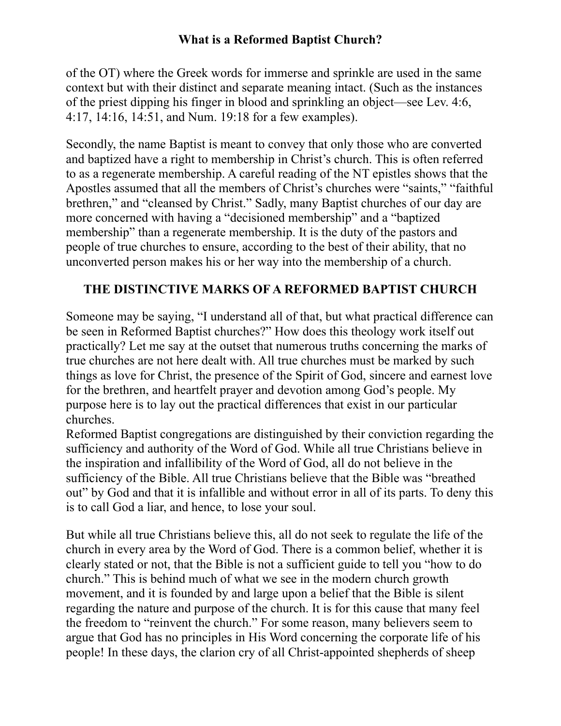of the OT) where the Greek words for immerse and sprinkle are used in the same context but with their distinct and separate meaning intact. (Such as the instances of the priest dipping his finger in blood and sprinkling an object—see Lev. 4:6, 4:17, 14:16, 14:51, and Num. 19:18 for a few examples).

Secondly, the name Baptist is meant to convey that only those who are converted and baptized have a right to membership in Christ's church. This is often referred to as a regenerate membership. A careful reading of the NT epistles shows that the Apostles assumed that all the members of Christ's churches were "saints," "faithful brethren," and "cleansed by Christ." Sadly, many Baptist churches of our day are more concerned with having a "decisioned membership" and a "baptized membership" than a regenerate membership. It is the duty of the pastors and people of true churches to ensure, according to the best of their ability, that no unconverted person makes his or her way into the membership of a church.

# **THE DISTINCTIVE MARKS OF A REFORMED BAPTIST CHURCH**

Someone may be saying, "I understand all of that, but what practical difference can be seen in Reformed Baptist churches?" How does this theology work itself out practically? Let me say at the outset that numerous truths concerning the marks of true churches are not here dealt with. All true churches must be marked by such things as love for Christ, the presence of the Spirit of God, sincere and earnest love for the brethren, and heartfelt prayer and devotion among God's people. My purpose here is to lay out the practical differences that exist in our particular churches.

Reformed Baptist congregations are distinguished by their conviction regarding the sufficiency and authority of the Word of God. While all true Christians believe in the inspiration and infallibility of the Word of God, all do not believe in the sufficiency of the Bible. All true Christians believe that the Bible was "breathed out" by God and that it is infallible and without error in all of its parts. To deny this is to call God a liar, and hence, to lose your soul.

But while all true Christians believe this, all do not seek to regulate the life of the church in every area by the Word of God. There is a common belief, whether it is clearly stated or not, that the Bible is not a sufficient guide to tell you "how to do church." This is behind much of what we see in the modern church growth movement, and it is founded by and large upon a belief that the Bible is silent regarding the nature and purpose of the church. It is for this cause that many feel the freedom to "reinvent the church." For some reason, many believers seem to argue that God has no principles in His Word concerning the corporate life of his people! In these days, the clarion cry of all Christ-appointed shepherds of sheep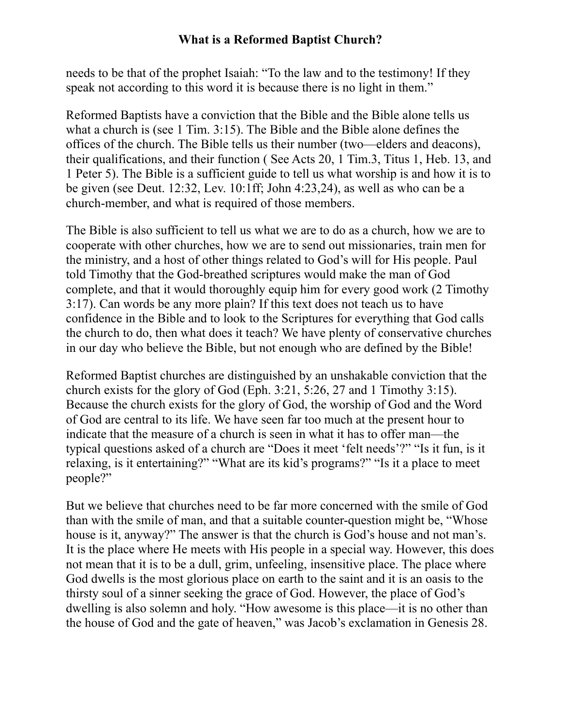needs to be that of the prophet Isaiah: "To the law and to the testimony! If they speak not according to this word it is because there is no light in them."

Reformed Baptists have a conviction that the Bible and the Bible alone tells us what a church is (see 1 Tim. 3:15). The Bible and the Bible alone defines the offices of the church. The Bible tells us their number (two—elders and deacons), their qualifications, and their function ( See Acts 20, 1 Tim.3, Titus 1, Heb. 13, and 1 Peter 5). The Bible is a sufficient guide to tell us what worship is and how it is to be given (see Deut. 12:32, Lev. 10:1ff; John 4:23,24), as well as who can be a church-member, and what is required of those members.

The Bible is also sufficient to tell us what we are to do as a church, how we are to cooperate with other churches, how we are to send out missionaries, train men for the ministry, and a host of other things related to God's will for His people. Paul told Timothy that the God-breathed scriptures would make the man of God complete, and that it would thoroughly equip him for every good work (2 Timothy 3:17). Can words be any more plain? If this text does not teach us to have confidence in the Bible and to look to the Scriptures for everything that God calls the church to do, then what does it teach? We have plenty of conservative churches in our day who believe the Bible, but not enough who are defined by the Bible!

Reformed Baptist churches are distinguished by an unshakable conviction that the church exists for the glory of God (Eph. 3:21, 5:26, 27 and 1 Timothy 3:15). Because the church exists for the glory of God, the worship of God and the Word of God are central to its life. We have seen far too much at the present hour to indicate that the measure of a church is seen in what it has to offer man—the typical questions asked of a church are "Does it meet 'felt needs'?" "Is it fun, is it relaxing, is it entertaining?" "What are its kid's programs?" "Is it a place to meet people?"

But we believe that churches need to be far more concerned with the smile of God than with the smile of man, and that a suitable counter-question might be, "Whose house is it, anyway?" The answer is that the church is God's house and not man's. It is the place where He meets with His people in a special way. However, this does not mean that it is to be a dull, grim, unfeeling, insensitive place. The place where God dwells is the most glorious place on earth to the saint and it is an oasis to the thirsty soul of a sinner seeking the grace of God. However, the place of God's dwelling is also solemn and holy. "How awesome is this place—it is no other than the house of God and the gate of heaven," was Jacob's exclamation in Genesis 28.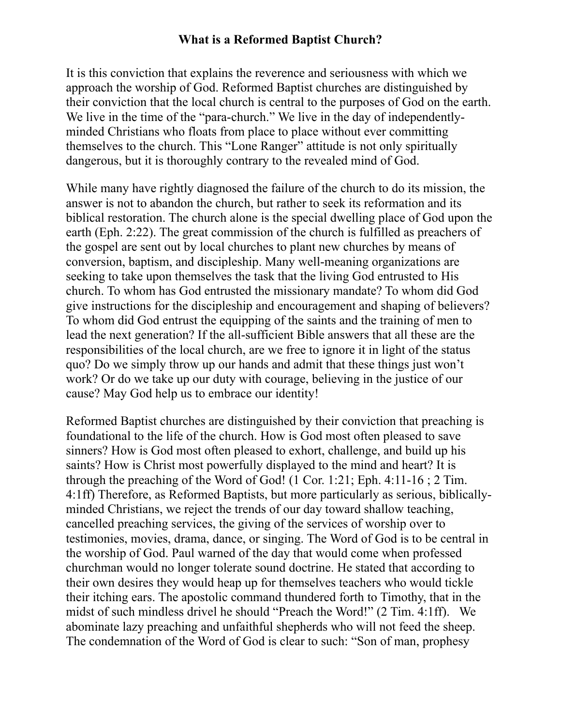It is this conviction that explains the reverence and seriousness with which we approach the worship of God. Reformed Baptist churches are distinguished by their conviction that the local church is central to the purposes of God on the earth. We live in the time of the "para-church." We live in the day of independentlyminded Christians who floats from place to place without ever committing themselves to the church. This "Lone Ranger" attitude is not only spiritually dangerous, but it is thoroughly contrary to the revealed mind of God.

While many have rightly diagnosed the failure of the church to do its mission, the answer is not to abandon the church, but rather to seek its reformation and its biblical restoration. The church alone is the special dwelling place of God upon the earth (Eph. 2:22). The great commission of the church is fulfilled as preachers of the gospel are sent out by local churches to plant new churches by means of conversion, baptism, and discipleship. Many well-meaning organizations are seeking to take upon themselves the task that the living God entrusted to His church. To whom has God entrusted the missionary mandate? To whom did God give instructions for the discipleship and encouragement and shaping of believers? To whom did God entrust the equipping of the saints and the training of men to lead the next generation? If the all-sufficient Bible answers that all these are the responsibilities of the local church, are we free to ignore it in light of the status quo? Do we simply throw up our hands and admit that these things just won't work? Or do we take up our duty with courage, believing in the justice of our cause? May God help us to embrace our identity!

Reformed Baptist churches are distinguished by their conviction that preaching is foundational to the life of the church. How is God most often pleased to save sinners? How is God most often pleased to exhort, challenge, and build up his saints? How is Christ most powerfully displayed to the mind and heart? It is through the preaching of the Word of God! (1 Cor. 1:21; Eph. 4:11-16 ; 2 Tim. 4:1ff) Therefore, as Reformed Baptists, but more particularly as serious, biblicallyminded Christians, we reject the trends of our day toward shallow teaching, cancelled preaching services, the giving of the services of worship over to testimonies, movies, drama, dance, or singing. The Word of God is to be central in the worship of God. Paul warned of the day that would come when professed churchman would no longer tolerate sound doctrine. He stated that according to their own desires they would heap up for themselves teachers who would tickle their itching ears. The apostolic command thundered forth to Timothy, that in the midst of such mindless drivel he should "Preach the Word!" (2 Tim. 4:1ff). We abominate lazy preaching and unfaithful shepherds who will not feed the sheep. The condemnation of the Word of God is clear to such: "Son of man, prophesy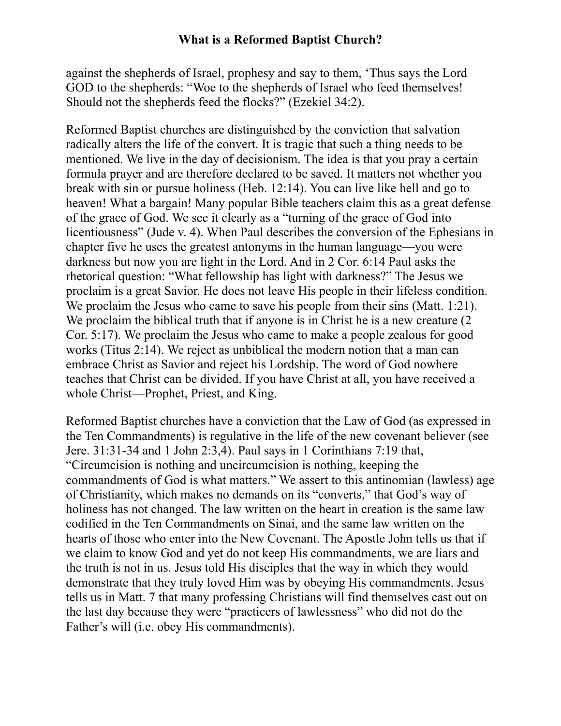against the shepherds of Israel, prophesy and say to them, 'Thus says the Lord GOD to the shepherds: "Woe to the shepherds of Israel who feed themselves! Should not the shepherds feed the flocks?" (Ezekiel 34:2).

Reformed Baptist churches are distinguished by the conviction that salvation radically alters the life of the convert. It is tragic that such a thing needs to be mentioned. We live in the day of decisionism. The idea is that you pray a certain formula prayer and are therefore declared to be saved. It matters not whether you break with sin or pursue holiness (Heb. 12:14). You can live like hell and go to heaven! What a bargain! Many popular Bible teachers claim this as a great defense of the grace of God. We see it clearly as a "turning of the grace of God into licentiousness" (Jude v. 4). When Paul describes the conversion of the Ephesians in chapter five he uses the greatest antonyms in the human language—you were darkness but now you are light in the Lord. And in 2 Cor. 6:14 Paul asks the rhetorical question: "What fellowship has light with darkness?" The Jesus we proclaim is a great Savior. He does not leave His people in their lifeless condition. We proclaim the Jesus who came to save his people from their sins (Matt. 1:21). We proclaim the biblical truth that if anyone is in Christ he is a new creature  $(2 \times 1)$ Cor. 5:17). We proclaim the Jesus who came to make a people zealous for good works (Titus 2:14). We reject as unbiblical the modern notion that a man can embrace Christ as Savior and reject his Lordship. The word of God nowhere teaches that Christ can be divided. If you have Christ at all, you have received a whole Christ—Prophet, Priest, and King.

Reformed Baptist churches have a conviction that the Law of God (as expressed in the Ten Commandments) is regulative in the life of the new covenant believer (see Jere. 31:31-34 and 1 John 2:3,4). Paul says in 1 Corinthians 7:19 that, "Circumcision is nothing and uncircumcision is nothing, keeping the commandments of God is what matters." We assert to this antinomian (lawless) age of Christianity, which makes no demands on its "converts," that God's way of holiness has not changed. The law written on the heart in creation is the same law codified in the Ten Commandments on Sinai, and the same law written on the hearts of those who enter into the New Covenant. The Apostle John tells us that if we claim to know God and yet do not keep His commandments, we are liars and the truth is not in us. Jesus told His disciples that the way in which they would demonstrate that they truly loved Him was by obeying His commandments. Jesus tells us in Matt. 7 that many professing Christians will find themselves cast out on the last day because they were "practicers of lawlessness" who did not do the Father's will (i.e. obey His commandments).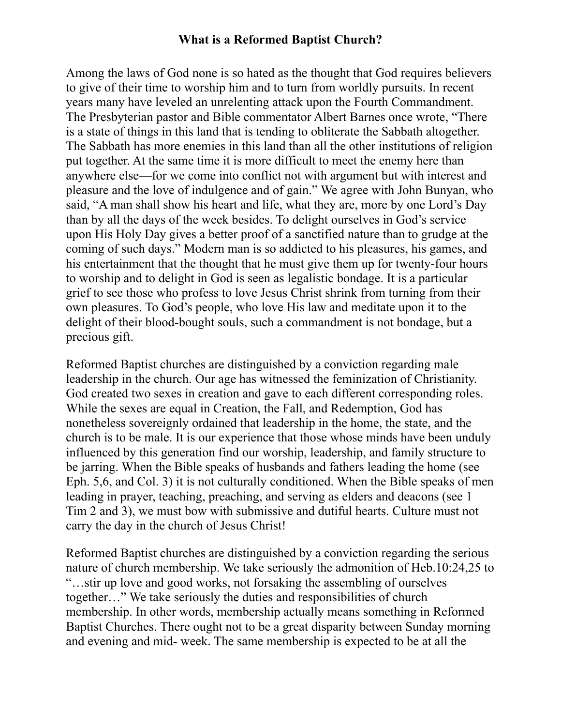Among the laws of God none is so hated as the thought that God requires believers to give of their time to worship him and to turn from worldly pursuits. In recent years many have leveled an unrelenting attack upon the Fourth Commandment. The Presbyterian pastor and Bible commentator Albert Barnes once wrote, "There is a state of things in this land that is tending to obliterate the Sabbath altogether. The Sabbath has more enemies in this land than all the other institutions of religion put together. At the same time it is more difficult to meet the enemy here than anywhere else—for we come into conflict not with argument but with interest and pleasure and the love of indulgence and of gain." We agree with John Bunyan, who said, "A man shall show his heart and life, what they are, more by one Lord's Day than by all the days of the week besides. To delight ourselves in God's service upon His Holy Day gives a better proof of a sanctified nature than to grudge at the coming of such days." Modern man is so addicted to his pleasures, his games, and his entertainment that the thought that he must give them up for twenty-four hours to worship and to delight in God is seen as legalistic bondage. It is a particular grief to see those who profess to love Jesus Christ shrink from turning from their own pleasures. To God's people, who love His law and meditate upon it to the delight of their blood-bought souls, such a commandment is not bondage, but a precious gift.

Reformed Baptist churches are distinguished by a conviction regarding male leadership in the church. Our age has witnessed the feminization of Christianity. God created two sexes in creation and gave to each different corresponding roles. While the sexes are equal in Creation, the Fall, and Redemption, God has nonetheless sovereignly ordained that leadership in the home, the state, and the church is to be male. It is our experience that those whose minds have been unduly influenced by this generation find our worship, leadership, and family structure to be jarring. When the Bible speaks of husbands and fathers leading the home (see Eph. 5,6, and Col. 3) it is not culturally conditioned. When the Bible speaks of men leading in prayer, teaching, preaching, and serving as elders and deacons (see 1 Tim 2 and 3), we must bow with submissive and dutiful hearts. Culture must not carry the day in the church of Jesus Christ!

Reformed Baptist churches are distinguished by a conviction regarding the serious nature of church membership. We take seriously the admonition of Heb.10:24,25 to "…stir up love and good works, not forsaking the assembling of ourselves together…" We take seriously the duties and responsibilities of church membership. In other words, membership actually means something in Reformed Baptist Churches. There ought not to be a great disparity between Sunday morning and evening and mid- week. The same membership is expected to be at all the